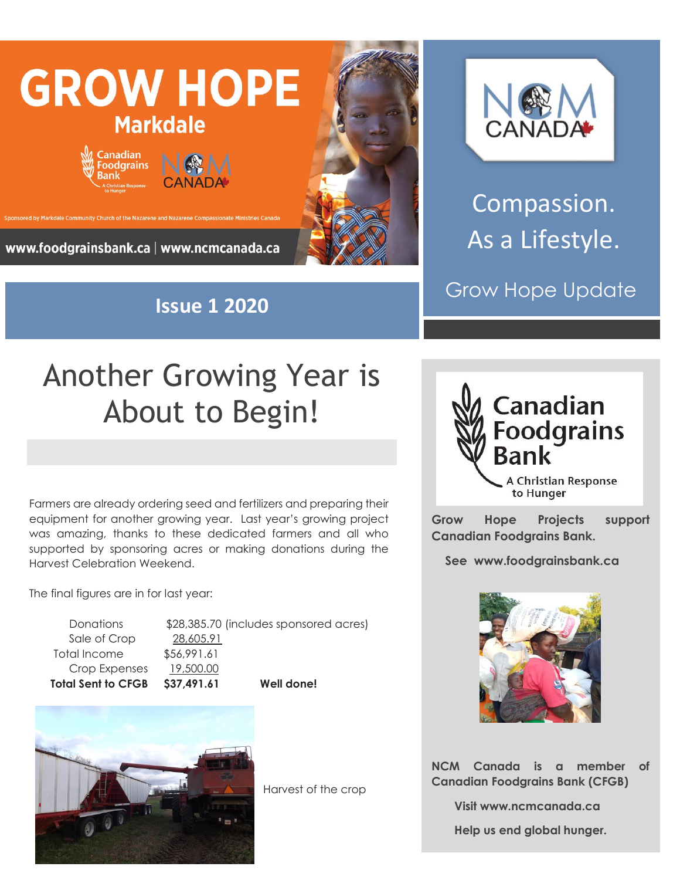

**Issue 1 2020**



Compassion. As a Lifestyle.

Grow Hope Update

## Another Growing Year is About to Begin!

Farmers are already ordering seed and fertilizers and preparing their equipment for another growing year. Last year's growing project was amazing, thanks to these dedicated farmers and all who supported by sponsoring acres or making donations during the Harvest Celebration Weekend.

The final figures are in for last year:

Sale of Crop 28,605.91 Total Income \$56,991.61 Crop Expenses 19,500.00

Donations \$28,385.70 (includes sponsored acres) **Total Sent to CFGB \$37,491.61 Well done!**



Harvest of the crop



**Grow Hope Projects support Canadian Foodgrains Bank.** 

 **See www.foodgrainsbank.ca**



**NCM Canada is a member of Canadian Foodgrains Bank (CFGB)**

 **Visit www.ncmcanada.ca**

 **Help us end global hunger.**